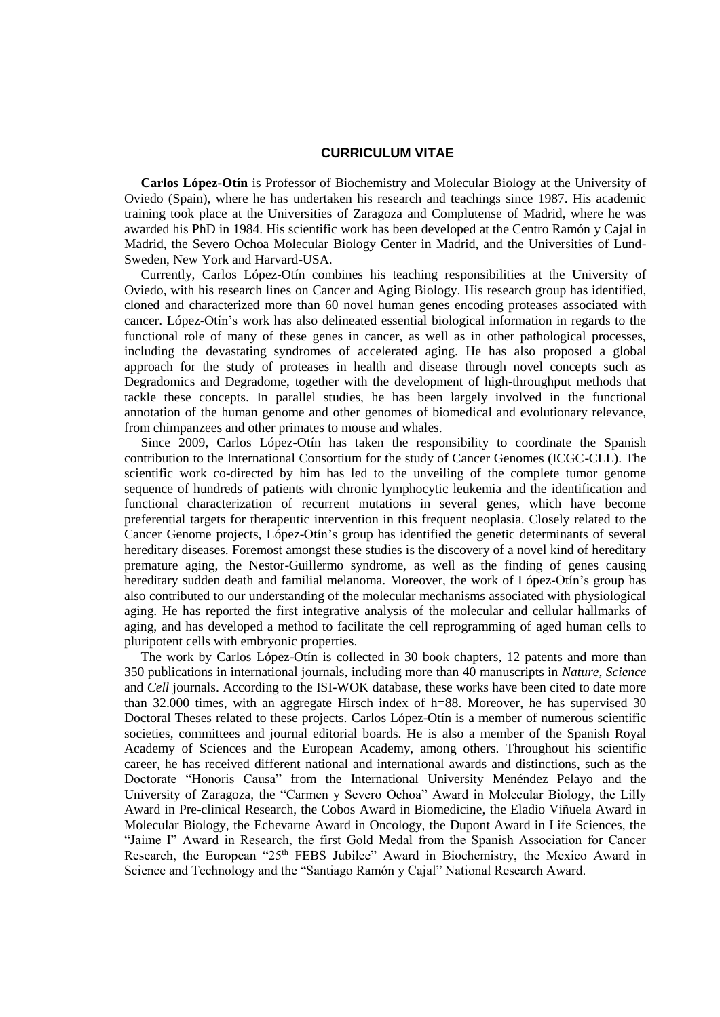## **CURRICULUM VITAE**

 **Carlos López-Otín** is Professor of Biochemistry and Molecular Biology at the University of Oviedo (Spain), where he has undertaken his research and teachings since 1987. His academic training took place at the Universities of Zaragoza and Complutense of Madrid, where he was awarded his PhD in 1984. His scientific work has been developed at the Centro Ramón y Cajal in Madrid, the Severo Ochoa Molecular Biology Center in Madrid, and the Universities of Lund-Sweden, New York and Harvard-USA.

 Currently, Carlos López-Otín combines his teaching responsibilities at the University of Oviedo, with his research lines on Cancer and Aging Biology. His research group has identified, cloned and characterized more than 60 novel human genes encoding proteases associated with cancer. López-Otín's work has also delineated essential biological information in regards to the functional role of many of these genes in cancer, as well as in other pathological processes, including the devastating syndromes of accelerated aging. He has also proposed a global approach for the study of proteases in health and disease through novel concepts such as Degradomics and Degradome, together with the development of high-throughput methods that tackle these concepts. In parallel studies, he has been largely involved in the functional annotation of the human genome and other genomes of biomedical and evolutionary relevance, from chimpanzees and other primates to mouse and whales.

 Since 2009, Carlos López-Otín has taken the responsibility to coordinate the Spanish contribution to the International Consortium for the study of Cancer Genomes (ICGC-CLL). The scientific work co-directed by him has led to the unveiling of the complete tumor genome sequence of hundreds of patients with chronic lymphocytic leukemia and the identification and functional characterization of recurrent mutations in several genes, which have become preferential targets for therapeutic intervention in this frequent neoplasia. Closely related to the Cancer Genome projects, López-Otín's group has identified the genetic determinants of several hereditary diseases. Foremost amongst these studies is the discovery of a novel kind of hereditary premature aging, the Nestor-Guillermo syndrome, as well as the finding of genes causing hereditary sudden death and familial melanoma. Moreover, the work of López-Otín's group has also contributed to our understanding of the molecular mechanisms associated with physiological aging. He has reported the first integrative analysis of the molecular and cellular hallmarks of aging, and has developed a method to facilitate the cell reprogramming of aged human cells to pluripotent cells with embryonic properties.

 The work by Carlos López-Otín is collected in 30 book chapters, 12 patents and more than 350 publications in international journals, including more than 40 manuscripts in *Nature*, *Science* and *Cell* journals. According to the ISI-WOK database, these works have been cited to date more than 32.000 times, with an aggregate Hirsch index of h=88. Moreover, he has supervised 30 Doctoral Theses related to these projects. Carlos López-Otín is a member of numerous scientific societies, committees and journal editorial boards. He is also a member of the Spanish Royal Academy of Sciences and the European Academy, among others. Throughout his scientific career, he has received different national and international awards and distinctions, such as the Doctorate "Honoris Causa" from the International University Menéndez Pelayo and the University of Zaragoza, the "Carmen y Severo Ochoa" Award in Molecular Biology, the Lilly Award in Pre-clinical Research, the Cobos Award in Biomedicine, the Eladio Viñuela Award in Molecular Biology, the Echevarne Award in Oncology, the Dupont Award in Life Sciences, the "Jaime I" Award in Research, the first Gold Medal from the Spanish Association for Cancer Research, the European "25<sup>th</sup> FEBS Jubilee" Award in Biochemistry, the Mexico Award in Science and Technology and the "Santiago Ramón y Cajal" National Research Award.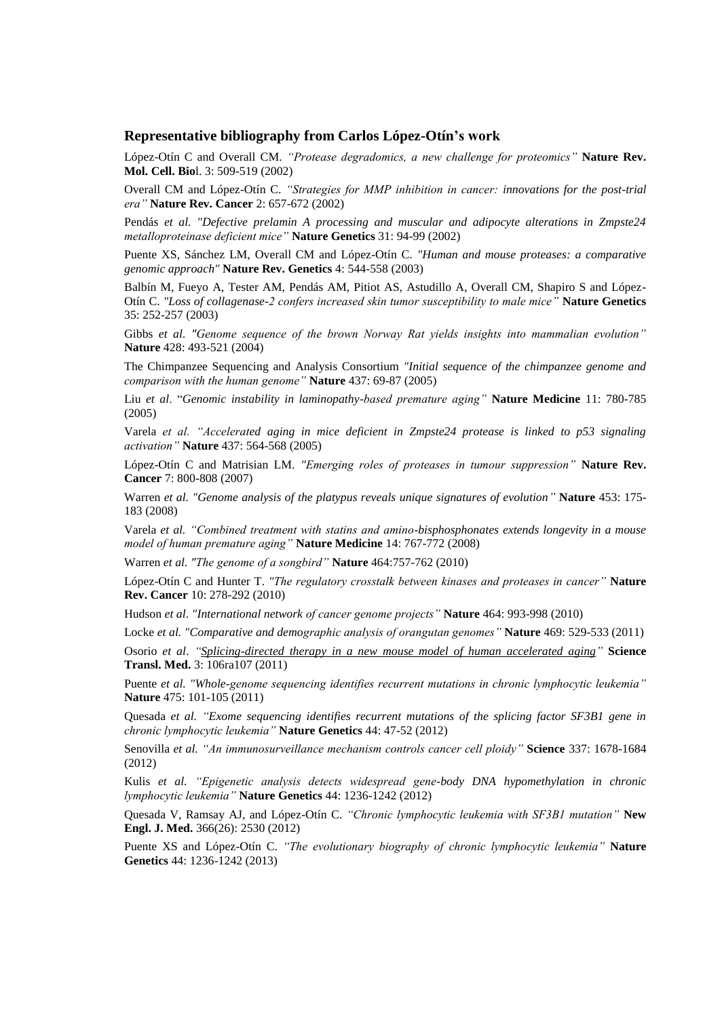## **Representative bibliography from Carlos López-Otín's work**

López-Otín C and Overall CM. *"Protease degradomics, a new challenge for proteomics"* **Nature Rev. Mol. Cell. Bio**l. 3: 509-519 (2002)

Overall CM and López-Otín C. *"Strategies for MMP inhibition in cancer: innovations for the post-trial era"* **Nature Rev. Cancer** 2: 657-672 (2002)

Pendás *et al. "Defective prelamin A processing and muscular and adipocyte alterations in Zmpste24 metalloproteinase deficient mice"* **Nature Genetics** 31: 94-99 (2002)

Puente XS, Sánchez LM, Overall CM and López-Otín C. *"Human and mouse proteases: a comparative genomic approach"* **Nature Rev. Genetics** 4: 544-558 (2003)

Balbín M, Fueyo A, Tester AM, Pendás AM, Pitiot AS, Astudillo A, Overall CM, Shapiro S and López-Otín C. *"Loss of collagenase-2 confers increased skin tumor susceptibility to male mice"* **Nature Genetics**  35: 252-257 (2003)

Gibbs *et al*. *"Genome sequence of the brown Norway Rat yields insights into mammalian evolution"* **Nature** 428: 493-521 (2004)

The Chimpanzee Sequencing and Analysis Consortium *"Initial sequence of the chimpanzee genome and comparison with the human genome"* **Nature** 437: 69-87 (2005)

Liu *et al*. "*Genomic instability in laminopathy-based premature aging"* **Nature Medicine** 11: 780-785 (2005)

Varela *et al. "Accelerated aging in mice deficient in Zmpste24 protease is linked to p53 signaling activation"* **Nature** 437: 564-568 (2005)

López-Otín C and Matrisian LM. *"Emerging roles of proteases in tumour suppression"* **Nature Rev. Cancer** 7: 800-808 (2007)

Warren *et al. "Genome analysis of the platypus reveals unique signatures of evolution"* **Nature** 453: 175- 183 (2008)

Varela *et al. "Combined treatment with statins and amino-bisphosphonates extends longevity in a mouse model of human premature aging"* **Nature Medicine** 14: 767-772 (2008)

Warren *et al. "The genome of a songbird"* **Nature** 464:757-762 (2010)

López-Otín C and Hunter T. *"The regulatory crosstalk between kinases and proteases in cancer"* **Nature Rev. Cancer** 10: 278-292 (2010)

Hudson *et al*. *"International network of cancer genome projects"* **Nature** 464: 993-998 (2010)

Locke *et al. "Comparative and demographic analysis of orangutan genomes"* **Nature** 469: 529-533 (2011)

Osorio *et al*. *["Splicing-directed therapy in a new mouse model of human accelerated aging"](http://www.ncbi.nlm.nih.gov/pubmed/22030750)* **Science Transl. Med.** 3: 106ra107 (2011)

Puente *et al. "Whole-genome sequencing identifies recurrent mutations in chronic lymphocytic leukemia"* **Nature** 475: 101-105 (2011)

Quesada *et al. "Exome sequencing identifies recurrent mutations of the splicing factor SF3B1 gene in chronic lymphocytic leukemia"* **Nature Genetics** 44: 47-52 (2012)

Senovilla *et al. "An immunosurveillance mechanism controls cancer cell ploidy"* **Science** 337: 1678-1684 (2012)

Kulis *et al. "Epigenetic analysis detects widespread gene-body DNA hypomethylation in chronic lymphocytic leukemia"* **Nature Genetics** 44: 1236-1242 (2012)

Quesada V, Ramsay AJ, and López-Otín C. *"Chronic lymphocytic leukemia with SF3B1 mutation"* **New Engl. J. Med.** 366(26): 2530 (2012)

Puente XS and López-Otín C. *"The evolutionary biography of chronic lymphocytic leukemia"* **Nature Genetics** 44: 1236-1242 (2013)